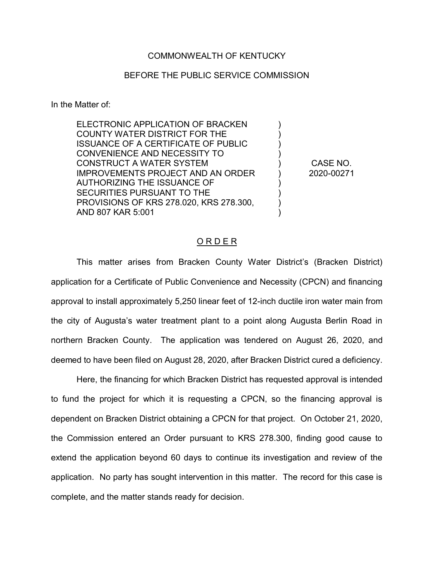### COMMONWEALTH OF KENTUCKY

### BEFORE THE PUBLIC SERVICE COMMISSION

In the Matter of:

| ELECTRONIC APPLICATION OF BRACKEN          |  |
|--------------------------------------------|--|
| <b>COUNTY WATER DISTRICT FOR THE</b>       |  |
| <b>ISSUANCE OF A CERTIFICATE OF PUBLIC</b> |  |
| CONVENIENCE AND NECESSITY TO               |  |
| <b>CONSTRUCT A WATER SYSTEM</b>            |  |
| <b>IMPROVEMENTS PROJECT AND AN ORDER</b>   |  |
| <b>AUTHORIZING THE ISSUANCE OF</b>         |  |
| SECURITIES PURSUANT TO THE                 |  |
| PROVISIONS OF KRS 278.020, KRS 278.300,    |  |
| AND 807 KAR 5:001                          |  |
|                                            |  |

CASE NO. 2020-00271

### O R D E R

This matter arises from Bracken County Water District's (Bracken District) application for a Certificate of Public Convenience and Necessity (CPCN) and financing approval to install approximately 5,250 linear feet of 12-inch ductile iron water main from the city of Augusta's water treatment plant to a point along Augusta Berlin Road in northern Bracken County. The application was tendered on August 26, 2020, and deemed to have been filed on August 28, 2020, after Bracken District cured a deficiency.

Here, the financing for which Bracken District has requested approval is intended to fund the project for which it is requesting a CPCN, so the financing approval is dependent on Bracken District obtaining a CPCN for that project. On October 21, 2020, the Commission entered an Order pursuant to KRS 278.300, finding good cause to extend the application beyond 60 days to continue its investigation and review of the application. No party has sought intervention in this matter. The record for this case is complete, and the matter stands ready for decision.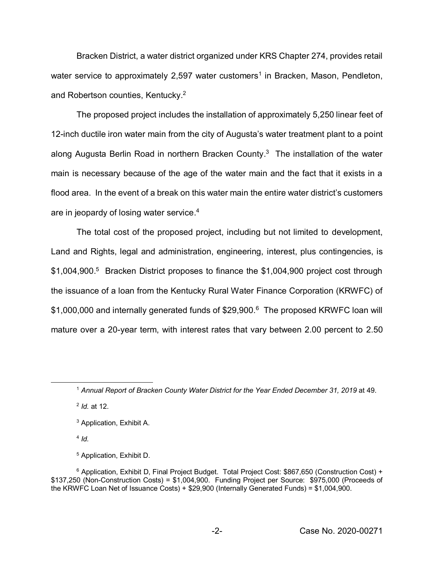Bracken District, a water district organized under KRS Chapter 274, provides retail water service to approximately 2,597 water customers<sup>1</sup> in Bracken, Mason, Pendleton, and Robertson counties, Kentucky.2

The proposed project includes the installation of approximately 5,250 linear feet of 12-inch ductile iron water main from the city of Augusta's water treatment plant to a point along Augusta Berlin Road in northern Bracken County. $3$  The installation of the water main is necessary because of the age of the water main and the fact that it exists in a flood area. In the event of a break on this water main the entire water district's customers are in jeopardy of losing water service. 4

The total cost of the proposed project, including but not limited to development, Land and Rights, legal and administration, engineering, interest, plus contingencies, is \$1,004,900. 5 Bracken District proposes to finance the \$1,004,900 project cost through the issuance of a loan from the Kentucky Rural Water Finance Corporation (KRWFC) of \$1,000,000 and internally generated funds of \$29,900.<sup>6</sup> The proposed KRWFC loan will mature over a 20-year term, with interest rates that vary between 2.00 percent to 2.50

<sup>2</sup> *Id.* at 12.

 $4$  *Id* 

<sup>5</sup> Application, Exhibit D.

 <sup>1</sup> *Annual Report of Bracken County Water District for the Year Ended December 31, 2019* at 49.

<sup>3</sup> Application, Exhibit A.

<sup>6</sup> Application, Exhibit D, Final Project Budget. Total Project Cost: \$867,650 (Construction Cost) + \$137,250 (Non-Construction Costs) = \$1,004,900. Funding Project per Source: \$975,000 (Proceeds of the KRWFC Loan Net of Issuance Costs) + \$29,900 (Internally Generated Funds) = \$1,004,900.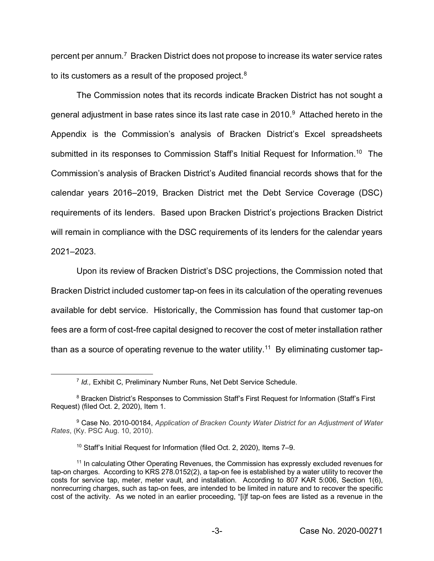percent per annum.7 Bracken District does not propose to increase its water service rates to its customers as a result of the proposed project.<sup>8</sup>

The Commission notes that its records indicate Bracken District has not sought a general adjustment in base rates since its last rate case in  $2010<sup>9</sup>$  Attached hereto in the Appendix is the Commission's analysis of Bracken District's Excel spreadsheets submitted in its responses to Commission Staff's Initial Request for Information.<sup>10</sup> The Commission's analysis of Bracken District's Audited financial records shows that for the calendar years 2016–2019, Bracken District met the Debt Service Coverage (DSC) requirements of its lenders. Based upon Bracken District's projections Bracken District will remain in compliance with the DSC requirements of its lenders for the calendar years 2021–2023.

Upon its review of Bracken District's DSC projections, the Commission noted that Bracken District included customer tap-on fees in its calculation of the operating revenues available for debt service. Historically, the Commission has found that customer tap-on fees are a form of cost-free capital designed to recover the cost of meter installation rather than as a source of operating revenue to the water utility.<sup>11</sup> By eliminating customer tap-

 <sup>7</sup> *Id.,* Exhibit C, Preliminary Number Runs, Net Debt Service Schedule.

<sup>8</sup> Bracken District's Responses to Commission Staff's First Request for Information (Staff's First Request) (filed Oct. 2, 2020), Item 1.

<sup>9</sup> Case No. 2010-00184, *Application of Bracken County Water District for an Adjustment of Water Rates*, (Ky. PSC Aug. 10, 2010).

<sup>10</sup> Staff's Initial Request for Information (filed Oct. 2, 2020), Items 7–9.

<sup>&</sup>lt;sup>11</sup> In calculating Other Operating Revenues, the Commission has expressly excluded revenues for tap-on charges. According to KRS 278.0152(2), a tap-on fee is established by a water utility to recover the costs for service tap, meter, meter vault, and installation. According to 807 KAR 5:006, Section 1(6), nonrecurring charges, such as tap-on fees, are intended to be limited in nature and to recover the specific cost of the activity. As we noted in an earlier proceeding, "[i]f tap-on fees are listed as a revenue in the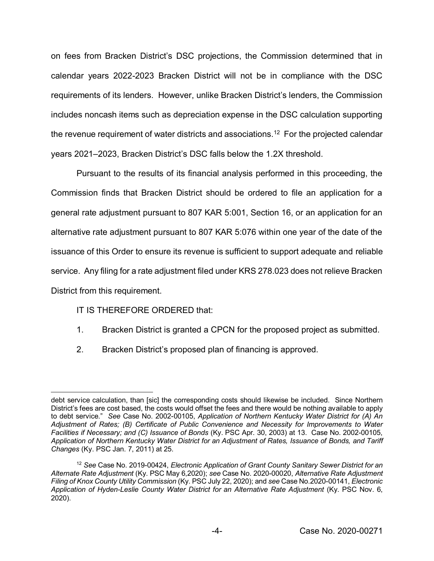on fees from Bracken District's DSC projections, the Commission determined that in calendar years 2022-2023 Bracken District will not be in compliance with the DSC requirements of its lenders. However, unlike Bracken District's lenders, the Commission includes noncash items such as depreciation expense in the DSC calculation supporting the revenue requirement of water districts and associations.<sup>12</sup> For the projected calendar years 2021–2023, Bracken District's DSC falls below the 1.2X threshold.

Pursuant to the results of its financial analysis performed in this proceeding, the Commission finds that Bracken District should be ordered to file an application for a general rate adjustment pursuant to 807 KAR 5:001, Section 16, or an application for an alternative rate adjustment pursuant to 807 KAR 5:076 within one year of the date of the issuance of this Order to ensure its revenue is sufficient to support adequate and reliable service. Any filing for a rate adjustment filed under KRS 278.023 does not relieve Bracken District from this requirement.

## IT IS THEREFORE ORDERED that:

- 1. Bracken District is granted a CPCN for the proposed project as submitted.
- 2. Bracken District's proposed plan of financing is approved.

 $\overline{a}$ debt service calculation, than [sic] the corresponding costs should likewise be included. Since Northern District's fees are cost based, the costs would offset the fees and there would be nothing available to apply to debt service." *See* Case No. 2002-00105, *Application of Northern Kentucky Water District for (A) An Adjustment of Rates; (B) Certificate of Public Convenience and Necessity for Improvements to Water Facilities if Necessary; and (C) Issuance of Bonds* (Ky. PSC Apr. 30, 2003) at 13. Case No. 2002-00105, *Application of Northern Kentucky Water District for an Adjustment of Rates, Issuance of Bonds, and Tariff Changes* (Ky. PSC Jan. 7, 2011) at 25.

<sup>12</sup> *See* Case No. 2019-00424, *Electronic Application of Grant County Sanitary Sewer District for an Alternate Rate Adjustment* (Ky. PSC May 6,2020); *see* Case No. 2020-00020, *Alternative Rate Adjustment Filing of Knox County Utility Commission* (Ky. PSC July 22, 2020); and *see* Case No.2020-00141, *Electronic Application of Hyden-Leslie County Water District for an Alternative Rate Adjustment* (Ky. PSC Nov. 6, 2020).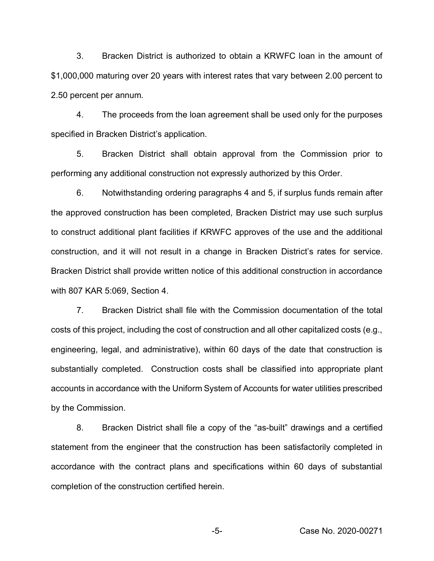3. Bracken District is authorized to obtain a KRWFC loan in the amount of \$1,000,000 maturing over 20 years with interest rates that vary between 2.00 percent to 2.50 percent per annum.

4. The proceeds from the loan agreement shall be used only for the purposes specified in Bracken District's application.

5. Bracken District shall obtain approval from the Commission prior to performing any additional construction not expressly authorized by this Order.

6. Notwithstanding ordering paragraphs 4 and 5, if surplus funds remain after the approved construction has been completed, Bracken District may use such surplus to construct additional plant facilities if KRWFC approves of the use and the additional construction, and it will not result in a change in Bracken District's rates for service. Bracken District shall provide written notice of this additional construction in accordance with 807 KAR 5:069, Section 4.

7. Bracken District shall file with the Commission documentation of the total costs of this project, including the cost of construction and all other capitalized costs (e.g., engineering, legal, and administrative), within 60 days of the date that construction is substantially completed. Construction costs shall be classified into appropriate plant accounts in accordance with the Uniform System of Accounts for water utilities prescribed by the Commission.

8. Bracken District shall file a copy of the "as-built" drawings and a certified statement from the engineer that the construction has been satisfactorily completed in accordance with the contract plans and specifications within 60 days of substantial completion of the construction certified herein.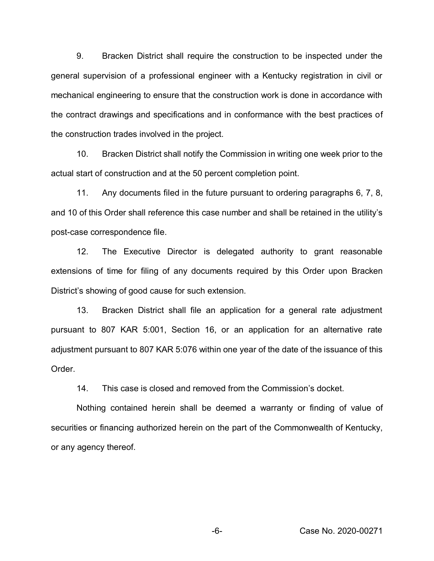9. Bracken District shall require the construction to be inspected under the general supervision of a professional engineer with a Kentucky registration in civil or mechanical engineering to ensure that the construction work is done in accordance with the contract drawings and specifications and in conformance with the best practices of the construction trades involved in the project.

10. Bracken District shall notify the Commission in writing one week prior to the actual start of construction and at the 50 percent completion point.

11. Any documents filed in the future pursuant to ordering paragraphs 6, 7, 8, and 10 of this Order shall reference this case number and shall be retained in the utility's post-case correspondence file.

12. The Executive Director is delegated authority to grant reasonable extensions of time for filing of any documents required by this Order upon Bracken District's showing of good cause for such extension.

13. Bracken District shall file an application for a general rate adjustment pursuant to 807 KAR 5:001, Section 16, or an application for an alternative rate adjustment pursuant to 807 KAR 5:076 within one year of the date of the issuance of this Order.

14. This case is closed and removed from the Commission's docket.

Nothing contained herein shall be deemed a warranty or finding of value of securities or financing authorized herein on the part of the Commonwealth of Kentucky, or any agency thereof.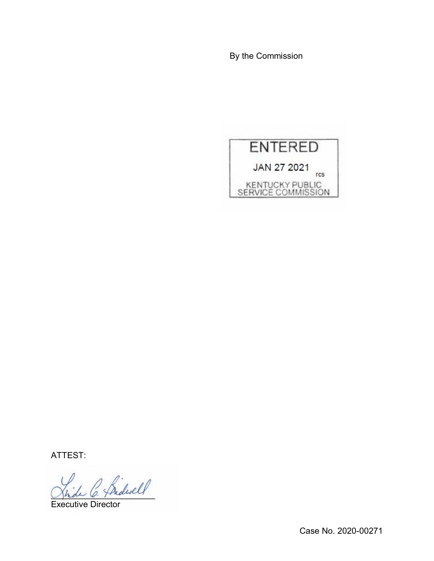By the Commission



ATTEST:

 $^{\prime}$  fridwell

Executive Director

Case No. 2020-00271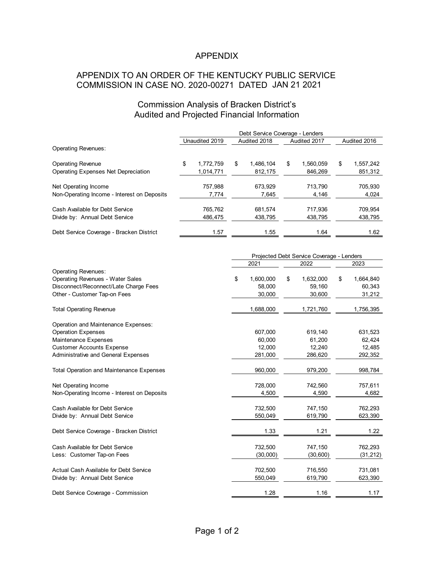# APPENDIX

# APPENDIX TO AN ORDER OF THE KENTUCKY PUBLIC SERVICE COMMISSION IN CASE NO. 2020-00271 DATED JAN 21 2021

### Commission Analysis of Bracken District's Audited and Projected Financial Information

|                                             | Debt Service Coverage - Lenders |                |    |              |   |              |   |              |  |
|---------------------------------------------|---------------------------------|----------------|----|--------------|---|--------------|---|--------------|--|
|                                             |                                 | Unaudited 2019 |    | Audited 2018 |   | Audited 2017 |   | Audited 2016 |  |
| <b>Operating Revenues:</b>                  |                                 |                |    |              |   |              |   |              |  |
| <b>Operating Revenue</b>                    | \$                              | 1,772,759      | \$ | 1.486.104    | S | 1.560.059    | S | 1,557,242    |  |
| Operating Expenses Net Depreciation         |                                 | 1,014,771      |    | 812,175      |   | 846,269      |   | 851,312      |  |
| Net Operating Income                        |                                 | 757,988        |    | 673.929      |   | 713.790      |   | 705,930      |  |
| Non-Operating Income - Interest on Deposits |                                 | 7,774          |    | 7,645        |   | 4,146        |   | 4,024        |  |
| Cash Available for Debt Service             |                                 | 765,762        |    | 681,574      |   | 717.936      |   | 709,954      |  |
| Divide by: Annual Debt Service              |                                 | 486,475        |    | 438,795      |   | 438,795      |   | 438,795      |  |
| Debt Service Coverage - Bracken District    |                                 | 1.57           |    | 1.55         |   | 1.64         |   | 1.62         |  |

|                                                 | Projected Debt Service Coverage - Lenders |                 |                 |  |
|-------------------------------------------------|-------------------------------------------|-----------------|-----------------|--|
|                                                 | 2021                                      | 2022            | 2023            |  |
| <b>Operating Revenues:</b>                      |                                           |                 |                 |  |
| <b>Operating Revenues - Water Sales</b>         | \$<br>1,600,000                           | 1,632,000<br>\$ | 1,664,840<br>\$ |  |
| Disconnect/Reconnect/Late Charge Fees           | 58.000                                    | 59,160          | 60,343          |  |
| Other - Customer Tap-on Fees                    | 30,000                                    | 30,600          | 31,212          |  |
| <b>Total Operating Revenue</b>                  | 1,688,000                                 | 1,721,760       | 1,756,395       |  |
| Operation and Maintenance Expenses:             |                                           |                 |                 |  |
| <b>Operation Expenses</b>                       | 607,000                                   | 619,140         | 631,523         |  |
| Maintenance Expenses                            | 60.000                                    | 61,200          | 62,424          |  |
| <b>Customer Accounts Expense</b>                | 12,000                                    | 12,240          | 12,485          |  |
| Administrative and General Expenses             | 281,000                                   | 286,620         | 292,352         |  |
| <b>Total Operation and Maintenance Expenses</b> | 960,000                                   | 979,200         | 998,784         |  |
| Net Operating Income                            | 728,000                                   | 742,560         | 757,611         |  |
| Non-Operating Income - Interest on Deposits     | 4,500                                     | 4,590           | 4,682           |  |
| Cash Available for Debt Service                 | 732,500                                   | 747,150         | 762,293         |  |
| Divide by: Annual Debt Service                  | 550,049                                   | 619,790         | 623,390         |  |
| Debt Service Coverage - Bracken District        | 1.33                                      | 1.21            | 1.22            |  |
| Cash Available for Debt Service                 | 732,500                                   | 747,150         | 762,293         |  |
| Less: Customer Tap-on Fees                      | (30,000)                                  | (30, 600)       | (31, 212)       |  |
| Actual Cash Available for Debt Service          | 702,500                                   | 716,550         | 731,081         |  |
| Divide by: Annual Debt Service                  | 550,049                                   | 619,790         | 623,390         |  |
| Debt Service Coverage - Commission              | 1.28                                      | 1.16            | 1.17            |  |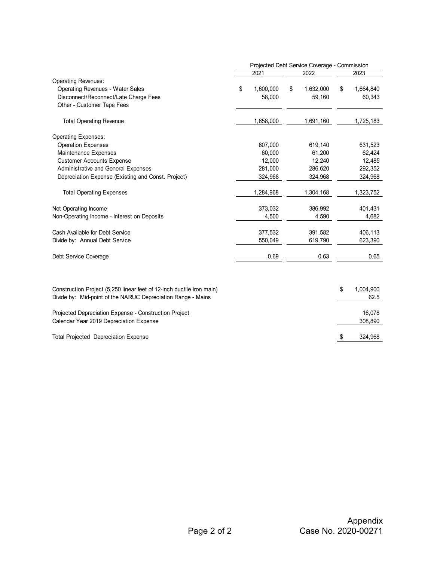|                                                                       | Projected Debt Service Coverage - Commission |                 |                 |
|-----------------------------------------------------------------------|----------------------------------------------|-----------------|-----------------|
|                                                                       | 2021                                         | 2022            | 2023            |
| <b>Operating Revenues:</b>                                            |                                              |                 |                 |
| <b>Operating Revenues - Water Sales</b>                               | 1,600,000<br>\$                              | 1,632,000<br>\$ | 1,664,840<br>\$ |
| Disconnect/Reconnect/Late Charge Fees                                 | 58,000                                       | 59,160          | 60,343          |
| Other - Customer Tape Fees                                            |                                              |                 |                 |
| <b>Total Operating Revenue</b>                                        | 1,658,000                                    | 1,691,160       | 1,725,183       |
| <b>Operating Expenses:</b>                                            |                                              |                 |                 |
| <b>Operation Expenses</b>                                             | 607,000                                      | 619,140         | 631,523         |
| Maintenance Expenses                                                  | 60,000                                       | 61,200          | 62,424          |
| <b>Customer Accounts Expense</b>                                      | 12,000                                       | 12,240          | 12,485          |
| Administrative and General Expenses                                   | 281,000                                      | 286,620         | 292,352         |
| Depreciation Expense (Existing and Const. Project)                    | 324,968                                      | 324,968         | 324,968         |
| <b>Total Operating Expenses</b>                                       | 1,284,968                                    | 1,304,168       | 1,323,752       |
| Net Operating Income                                                  | 373,032                                      | 386,992         | 401,431         |
| Non-Operating Income - Interest on Deposits                           | 4,500                                        | 4,590           | 4,682           |
| Cash Available for Debt Service                                       | 377,532                                      | 391,582         | 406,113         |
| Divide by: Annual Debt Service                                        | 550,049                                      | 619,790         | 623,390         |
| Debt Service Coverage                                                 | 0.69                                         | 0.63            | 0.65            |
|                                                                       |                                              |                 |                 |
| Construction Project (5,250 linear feet of 12-inch ductile iron main) |                                              |                 | \$<br>1,004,900 |
| Divide by: Mid-point of the NARUC Depreciation Range - Mains          |                                              |                 | 62.5            |
| Projected Depreciation Expense - Construction Project                 |                                              |                 | 16,078          |
| Calendar Year 2019 Depreciation Expense                               |                                              |                 | 308,890         |
| <b>Total Projected Depreciation Expense</b>                           |                                              |                 | 324,968<br>\$   |